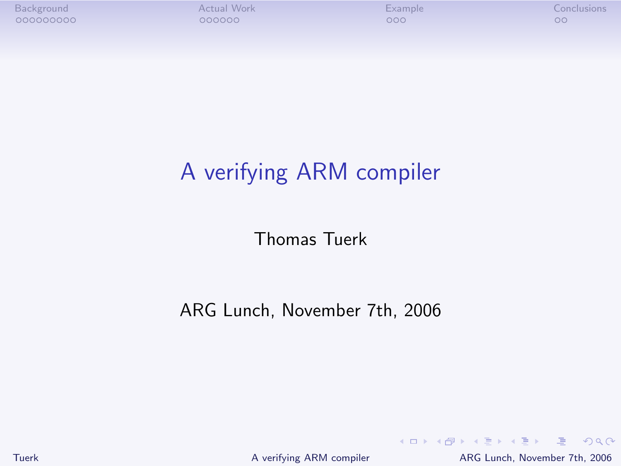# A verifying ARM compiler

Thomas Tuerk

ARG Lunch, November 7th, 2006

Tuerk [A verifying ARM compiler](#page-21-0) ARG Lunch, November 7th, 2006

<span id="page-0-0"></span>K ロ ▶ K 個 ▶ K 로 ▶ K 로 ▶ - 로 - K 9 Q @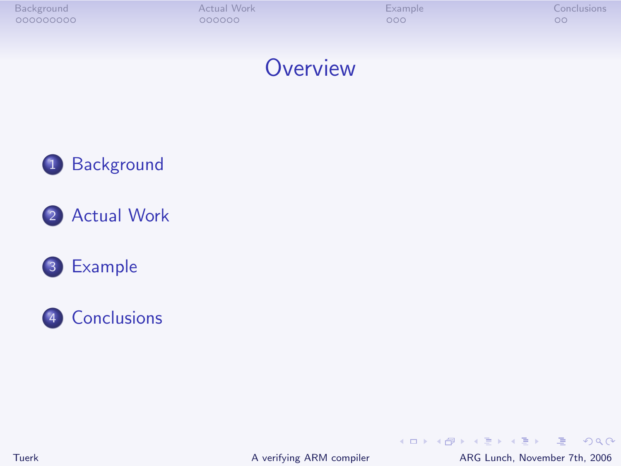### **Overview**









Tuerk [A verifying ARM compiler](#page-0-0) ARG Lunch, November 7th, 2006

<span id="page-1-0"></span> $E = \Omega Q$ 

イロメ イ部メ イヨメ イヨメー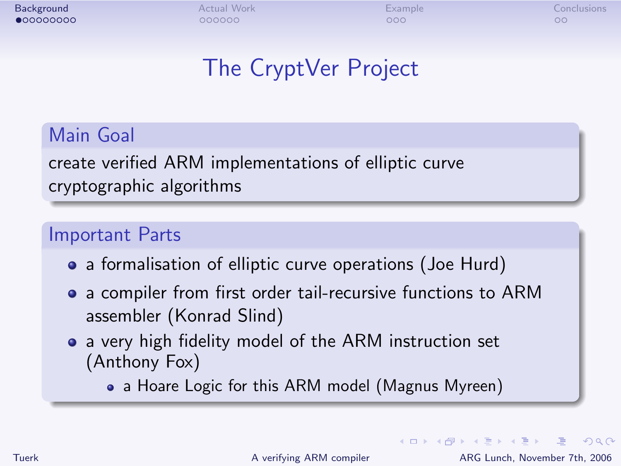# The CryptVer Project

### Main Goal

create verified ARM implementations of elliptic curve cryptographic algorithms

#### Important Parts

- a formalisation of elliptic curve operations (Joe Hurd)
- a compiler from first order tail-recursive functions to ARM assembler (Konrad Slind)
- a very high fidelity model of the ARM instruction set (Anthony Fox)

• a Hoare Logic for this ARM model (Magnus Myreen)

Tuerk [A verifying ARM compiler](#page-0-0) ARG Lunch, November 7th, 2006

<span id="page-2-0"></span> $\equiv$   $\Omega$ 

**K ロ ▶ | K 伊 ▶ | K ヨ ▶ | K ヨ ▶ |**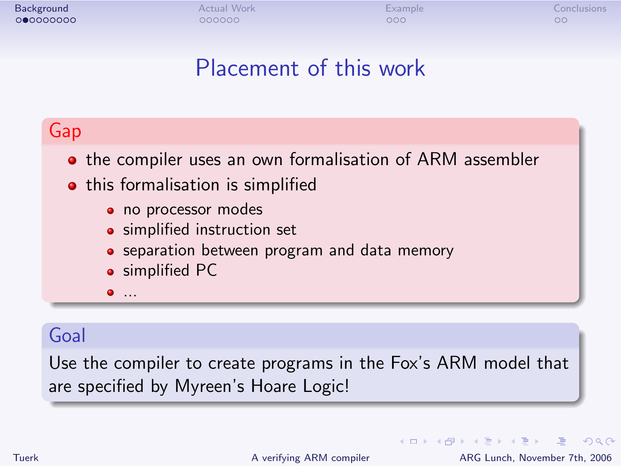# Placement of this work

### Gap

**•** the compiler uses an own formalisation of ARM assembler

- this formalisation is simplified
	- no processor modes
	- **•** simplified instruction set
	- **•** separation between program and data memory
	- **•** simplified PC
	- ...

### Goal

Use the compiler to create programs in the Fox's ARM model that are specified by Myreen's Hoare Logic!

 $\equiv$   $\Omega$ 

4 ロ ト 4 何 ト 4 ヨ ト 4 ヨ ト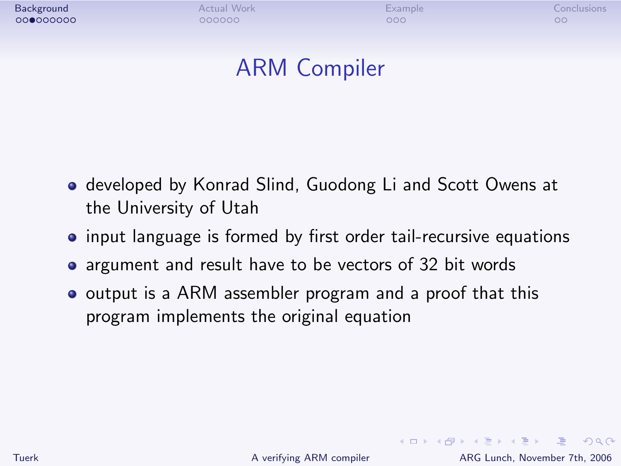# ARM Compiler

- developed by Konrad Slind, Guodong Li and Scott Owens at the University of Utah
- input language is formed by first order tail-recursive equations
- argument and result have to be vectors of 32 bit words
- output is a ARM assembler program and a proof that this program implements the original equation

<span id="page-4-0"></span>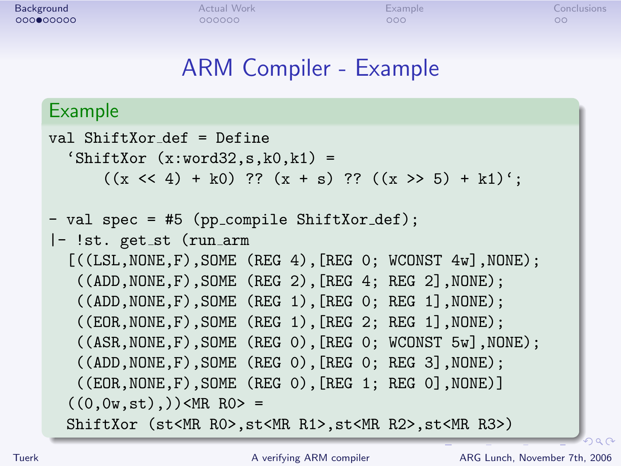### ARM Compiler - Example

#### Example

```
val ShiftXor def = Define
  '\text{ShiftXor } (x:word32, s, k0, k1) =((x \le 4) + k0) ?? (x + s) ?? ((x > 5) + k1)';
- val spec = #5 (pp_compile ShiftXor_def);
|- !st. get_st (run_arm
  [((LSL,NONE,F),SOME (REG 4), [REG 0; WCONST 4w],NONE);
   ((ADD,NONE,F),SOME (REG 2),[REG 4; REG 2],NONE);
   ((ADD,NONE,F),SOME (REG 1),[REG 0; REG 1],NONE);
   ((EOR,NONE,F),SOME (REG 1),[REG 2; REG 1],NONE);
   ((ASR,NONE,F),SOME (REG 0),[REG 0; WCONST 5w],NONE);
   ((ADD,NONE,F),SOME (REG 0),[REG 0; REG 3],NONE);
   ((EOR,NONE,F),SOME (REG 0),[REG 1; REG 0],NONE)]
  ((0,0w,st),))<MR RO> =
  ShiftXor (st<MR R0>,st<MR R1>,st<MR R2>,st<MR R3>)
```
<span id="page-5-0"></span> $290$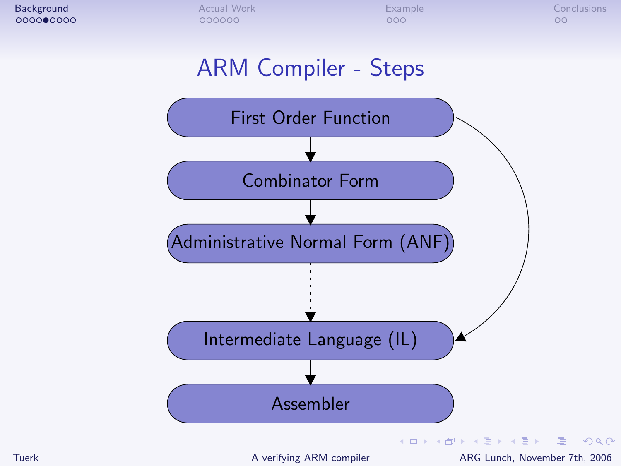<span id="page-6-0"></span>

# ARM Compiler - Steps

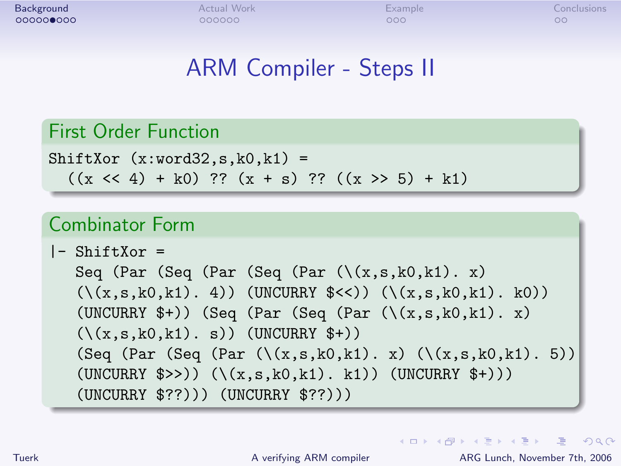# ARM Compiler - Steps II

#### First Order Function

```
ShiftXor (x:word32, s, k0, k1) =((x \le 4) + k0) ?? (x + s) ?? ((x \ge 5) + k1)
```
#### Combinator Form

```
l - ShiftXor =
  Seq (Par (Seq (Par (Seq (Par (\{(x,s,k0,k1), x))
   (\{(x,s,k0,k1), 4)) (UNCURRY (\{(x,s,k0,k1), k0)))
   (UNCURRY \ast+)) (Seq (Par (Seq (Par (\(x,s,k0,k1). x))
   (\zeta(x,s,k0,k1), s) (UNCURRY $+))
   (Seq (Par (Seq (Par (\{(x,s,k0,k1), x) (\{(x,s,k0,k1), 5)\})(UNCURRY \$>>)) (\{(x,s,k0,k1), k1)) (UNCURRY \$+))(UNCURRY $??))) (UNCURRY $??)))
```
**KOD KARD KED KED AGA**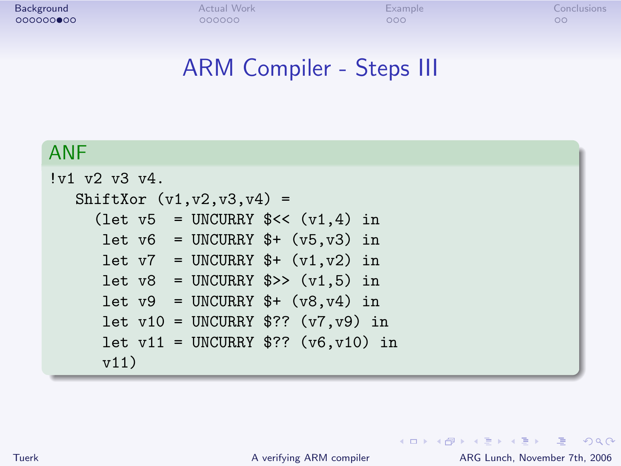### ARM Compiler - Steps III

#### ANF

```
!v1 v2 v3 v4.
  ShiftXor (v1,v2,v3,v4) =(let v5 = UNCURRY << (v1, 4) in
     let v6 = UNCURRY * (v5, v3) in
     let v7 = UNCURRY $+ (v1, v2) in
     let v8 = UNCURRY $>> (v1,5) in
     let v9 = UNCURRY * (v8, v4) in
     let v10 = UNCURRY $?? (v7, v9) in
     let v11 = UNCURRY $?? (v6, v10) in
     v11)
```
Tuerk [A verifying ARM compiler](#page-0-0) ARG Lunch, November 7th, 2006

K ロ ▶ K 個 ▶ K 로 ▶ K 로 ▶ - 로 - K 9 Q @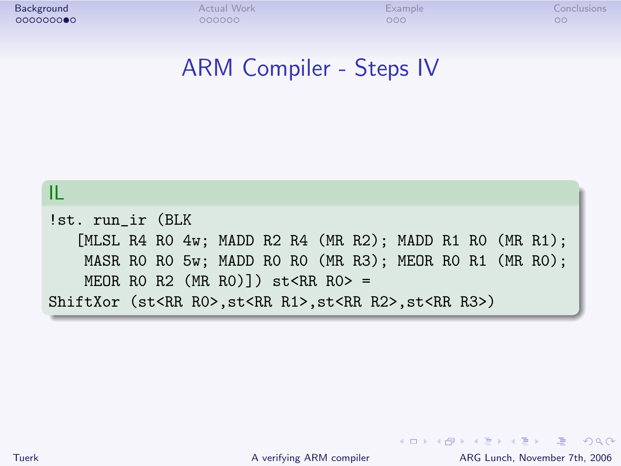### ARM Compiler - Steps IV



Tuerk [A verifying ARM compiler](#page-0-0) ARG Lunch, November 7th, 2006

**KOD KARD KED KED AGA**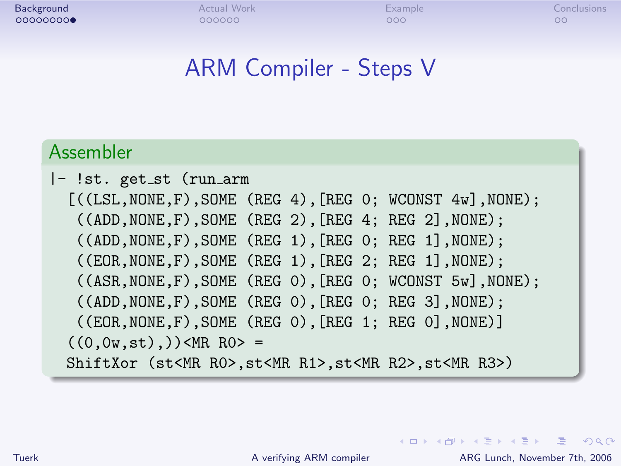### ARM Compiler - Steps V

#### Assembler

```
|- !st. get_st (run_arm
  [((LSL,NONE,F),SOME (REG 4), [REG 0; WCONST 4w].NONE):
   ((ADD, NODE, F), SOME (REG 2), [REG 4; REG 2], NODE);((ADD, NODE, F), SOME (REG 1), [REG 0; REG 1], NODE);((EOR,NONE,F),SOME (REG 1),[REG 2; REG 1],NONE);
   ((ASR,NONE,F),SOME (REG 0),[REG 0; WCONST 5w],NONE);
   ((ADD,NONE,F),SOME (REG 0),[REG 0; REG 3],NONE);
   ((EOR,NONE,F),SOME (REG 0),[REG 1; REG 0],NONE)]
  ((0.0w.st).) \leqMR RO> =
 ShiftXor (st<MR R0>,st<MR R1>,st<MR R2>,st<MR R3>)
```
Tuerk [A verifying ARM compiler](#page-0-0) ARG Lunch, November 7th, 2006

<span id="page-10-0"></span>**KOD KARD KED KED AGA**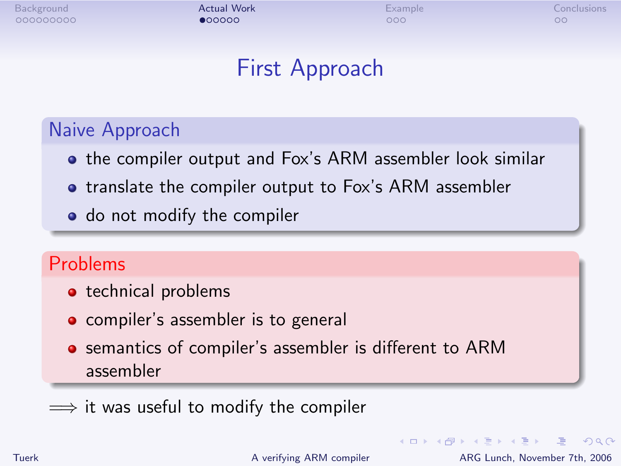## First Approach

### Naive Approach

- **•** the compiler output and Fox's ARM assembler look similar
- **•** translate the compiler output to Fox's ARM assembler
- do not modify the compiler

### Problems

- technical problems
- compiler's assembler is to general
- **•** semantics of compiler's assembler is different to ARM assembler
- $\implies$  it was useful to modify the compiler

Tuerk [A verifying ARM compiler](#page-0-0) ARG Lunch, November 7th, 2006

<span id="page-11-0"></span> $\equiv$   $\Omega$ 

**イロト イ母ト イヨト イヨト**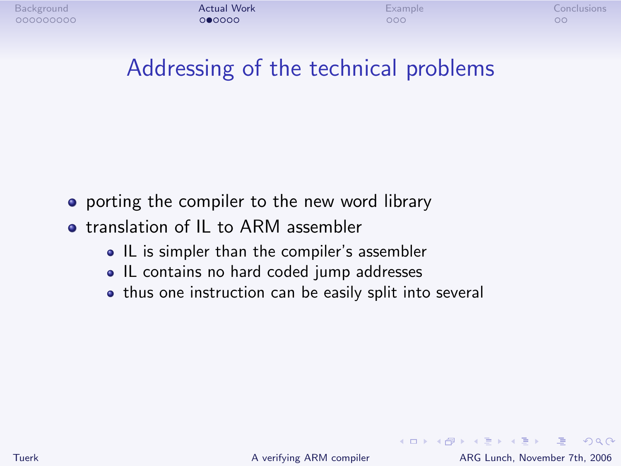## Addressing of the technical problems

- porting the compiler to the new word library
- **•** translation of IL to ARM assembler
	- IL is simpler than the compiler's assembler
	- IL contains no hard coded jump addresses
	- thus one instruction can be easily split into several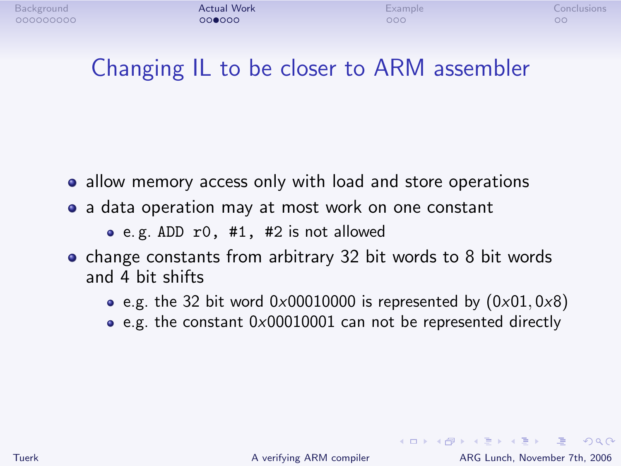# Changing IL to be closer to ARM assembler

- allow memory access only with load and store operations
- a data operation may at most work on one constant

e. g. ADD r0, #1, #2 is not allowed

- change constants from arbitrary 32 bit words to 8 bit words and 4 bit shifts
	- e.g. the 32 bit word  $0 \times 00010000$  is represented by  $(0 \times 01, 0 \times 8)$
	- e.g. the constant 0x00010001 can not be represented directly

K ロ ▶ K 個 ▶ K 로 ▶ K 로 ▶ - 로 - K 9 Q @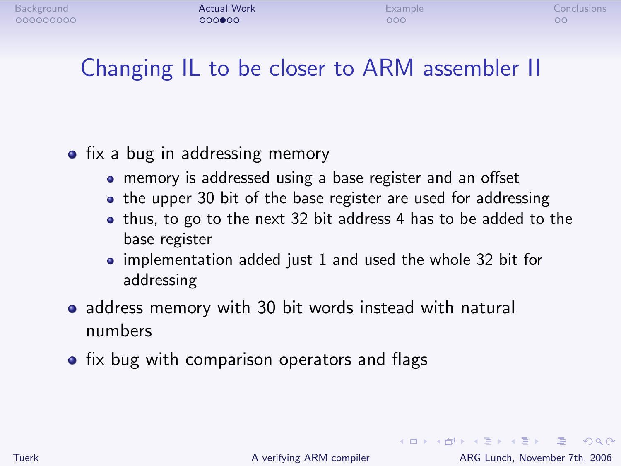# Changing IL to be closer to ARM assembler II

### • fix a bug in addressing memory

- memory is addressed using a base register and an offset
- the upper 30 bit of the base register are used for addressing
- thus, to go to the next 32 bit address 4 has to be added to the base register
- implementation added just 1 and used the whole 32 bit for addressing
- address memory with 30 bit words instead with natural numbers
- $\bullet$  fix bug with comparison operators and flags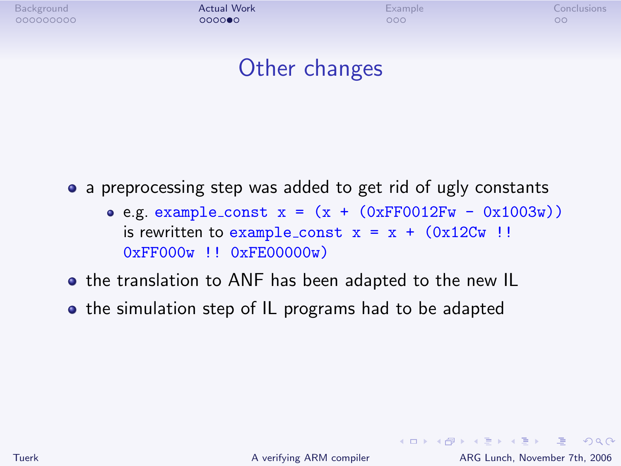## Other changes

• a preprocessing step was added to get rid of ugly constants

- $\bullet$  e.g. example\_const x = (x + (0xFF0012Fw 0x1003w)) is rewritten to example\_const  $x = x + (0x12Cw)$ ! 0xFF000w !! 0xFE00000w)
- the translation to ANF has been adapted to the new IL
- the simulation step of IL programs had to be adapted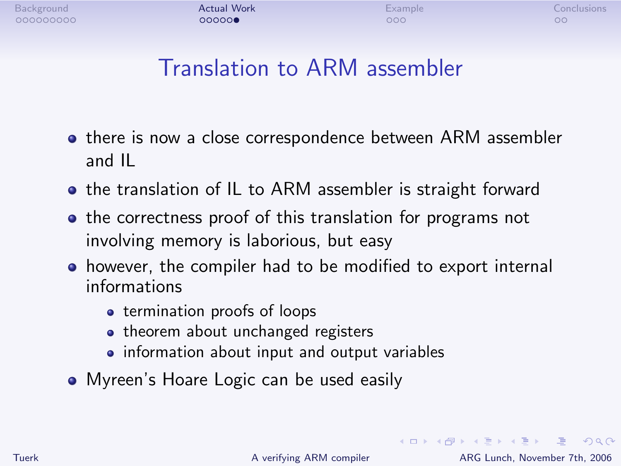<span id="page-16-0"></span>

# Translation to ARM assembler

- **•** there is now a close correspondence between ARM assembler and IL
- the translation of IL to ARM assembler is straight forward
- the correctness proof of this translation for programs not involving memory is laborious, but easy
- however, the compiler had to be modified to export internal informations
	- **•** termination proofs of loops
	- theorem about unchanged registers
	- information about input and output variables
- Myreen's Hoare Logic can be used easily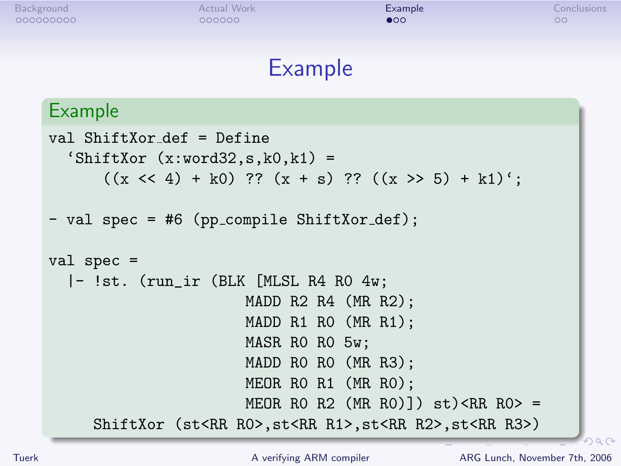### Example

#### Example

```
val ShiftXor def = Define
  '\text{ShiftXor } (x:word32, s, k0, k1) =((x \le 4) + k0) ?? (x + s) ?? ((x > 5) + k1)':
- val spec = #6 (pp_compile ShiftXor_def);
val spec =
  |- !st. (run_ir (BLK [MLSL R4 R0 4w;
                       MADD R2 R4 (MR R2);
                       MADD R1 R0 (MR R1);
                       MASR R0 R0 5w;
                       MADD R0 R0 (MR R3);
                       MEOR R0 R1 (MR R0);
                       MEOR RO R2 (MR RO)]) st) <RR RO> =
     ShiftXor (st<RR R0>,st<RR R1>,st<RR R2>,st<RR R3>)
```
<span id="page-17-0"></span> $290$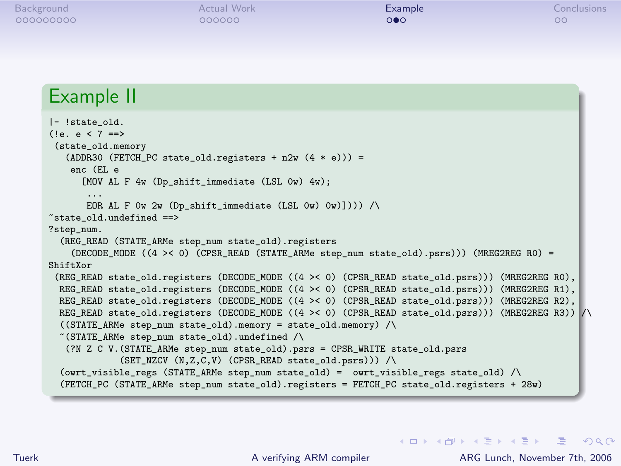#### Example II

```
|- !state_old.
(!e. e < 7 ==)(state_old.memory
   (ADDR30 (FETCH_PC state_{old.}registers + n2w (4 * e))) =enc (EL e
      [MOV AL F 4w (Dp_shift_immediate (LSL 0w) 4w);
        ...
EOR AL F 0w 2w (Dp_shift_immediate (LSL 0w) 0w)]))) /\
\tilde{\text{a}} state old.undefined ==?step_num.
  (REG_READ (STATE_ARMe step_num state_old).registers
    (DECODE MODE ((4 > 0) (CPSR_READ (STATE_ARMe step_num state_old).psrs))) (MREG2REG R0) =
ShiftXor
 (REG_READ state_old.registers (DECODE_MODE ((4 >< 0) (CPSR_READ state_old.psrs))) (MREG2REG R0),
  REG_READ_state_old.registers (DECODE_MODE ((4 >< 0) (CPSR_READ_state_old.psrs))) (MREG2REG R1),
  REG_READ_state_old.registers (DECODE_MODE ((4 >< 0) (CPSR_READ_state_old.psrs))) (MREG2REG R2),
  REG_READ state_old.registers (DECODE_MODE ((4 >< 0) (CPSR_READ state_old.psrs))) (MREG2REG R3)) /\
  ((\texttt{STATE} \_ \texttt{ARMe} \ \texttt{step} \_ \texttt{num} \ \texttt{state} \_ \texttt{old}) \, . \texttt{memory} = \texttt{state} \_ \texttt{old} \, . \texttt{memory}) /\
  \tilde{\phantom{a}} (STATE ARMe step num state old).undefined /\
   (?N Z C V.(STATE_ARMe step_num state_old).psrs = CPSR_WRITE state_old.psrs
               (SET_NZCV (N,Z,C,V) (CPSR_READ state_old.psrs))) /\
  (owrt_visible_regs (STATE_ARMe step_num state_old) = owrt_visible_regs state_old) /\
  (FETCH_PC (STATE_ARMe step_num state_old).registers = FETCH_PC state_old.registers + 28w)
```
<span id="page-18-0"></span>**KOD KARD KED KED AGA**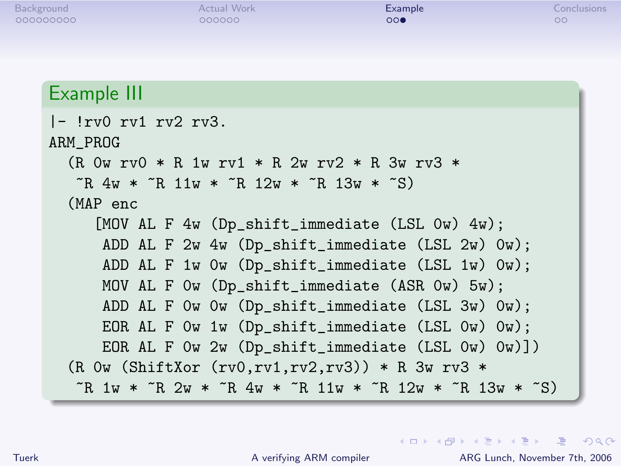### Example III

| $\left[- \right]$ rv $\left[ \right]$ rv $\left[ \right]$ rv $\left[ 2 \right]$ rv $\left[ 3 \right]$ .                |
|------------------------------------------------------------------------------------------------------------------------|
| ARM_PROG                                                                                                               |
| $(R$ Ow rvO * R 1w rv1 * R 2w rv2 * R 3w rv3 *                                                                         |
| $\tilde{R}$ 4w * $\tilde{R}$ 11w * $\tilde{R}$ 12w * $\tilde{R}$ 13w * $\tilde{S}$ )                                   |
| (MAP enc                                                                                                               |
| [MOV AL F $4w$ (Dp_shift_immediate (LSL $0w$ ) $4w$ );                                                                 |
| ADD AL F 2w 4w (Dp_shift_immediate (LSL 2w) Ow);                                                                       |
| ADD AL F 1w 0w (Dp_shift_immediate (LSL 1w) 0w);                                                                       |
| MOV AL F Ow (Dp_shift_immediate (ASR Ow) 5w);                                                                          |
| ADD AL F Ow Ow (Dp_shift_immediate (LSL 3w) Ow);                                                                       |
| EOR AL F Ow 1w $(Dp_{shift\_immediate}$ (LSL $0w)$ $0w)$ ;                                                             |
| EOR AL F Ow 2w (Dp_shift_immediate (LSL Ow) Ow)])                                                                      |
| $(R$ Ow (ShiftXor (rv0,rv1,rv2,rv3)) * R 3w rv3 *                                                                      |
| $\tilde{R}$ 1w * $\tilde{R}$ 2w * $\tilde{R}$ 4w * $\tilde{R}$ 11w * $\tilde{R}$ 12w * $\tilde{R}$ 13w * $\tilde{S}$ ) |

<span id="page-19-0"></span>K ロ ▶ K @ ▶ K 할 ▶ K 할 ▶ ( 할 ) 100 Q Q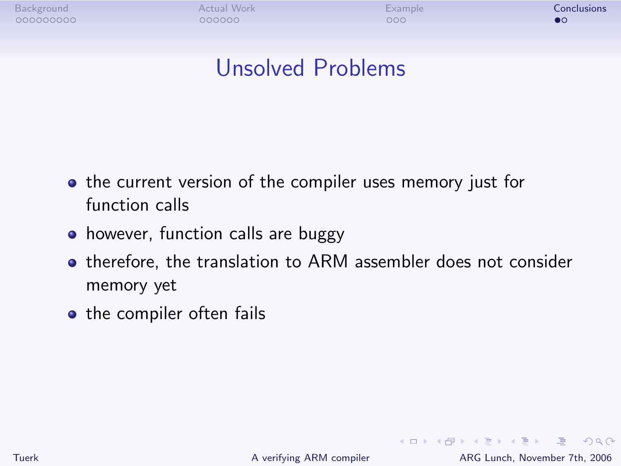[Background](#page-2-0) **Conclusions [Actual Work](#page-11-0) [Example](#page-17-0) [Conclusions](#page-20-0) Conclusions** 

## Unsolved Problems

- **•** the current version of the compiler uses memory just for function calls
- however, function calls are buggy
- **•** therefore, the translation to ARM assembler does not consider memory yet
- the compiler often fails

<span id="page-20-0"></span>